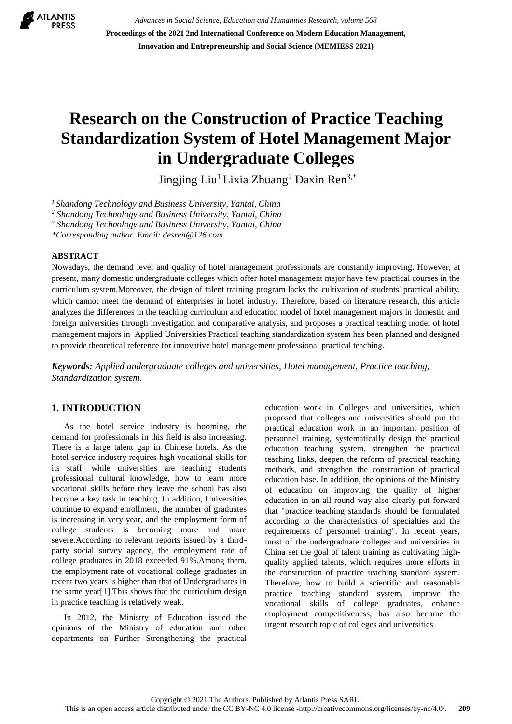

*Advances in Social Science, Education and Humanities Research, volume 568* **Proceedings of the 2021 2nd International Conference on Modern Education Management, Innovation and Entrepreneurship and Social Science (MEMIESS 2021)**

# **Research on the Construction of Practice Teaching Standardization System of Hotel Management Major in Undergraduate Colleges**

Jingjing Liu<sup>1</sup> Lixia Zhuang<sup>2</sup> Daxin Ren<sup>3,\*</sup>

*<sup>1</sup>Shandong Technology and Business University, Yantai, China*

*<sup>2</sup> Shandong Technology and Business University, Yantai, China*

*<sup>3</sup> Shandong Technology and Business University, Yantai, China*

*\*Corresponding author. Email: desren@126.com*

#### **ABSTRACT**

Nowadays, the demand level and quality of hotel management professionals are constantly improving. However, at present, many domestic undergraduate colleges which offer hotel management major have few practical courses in the curriculum system.Moreover, the design of talent training program lacks the cultivation of students' practical ability, which cannot meet the demand of enterprises in hotel industry. Therefore, based on literature research, this article analyzes the differences in the teaching curriculum and education model of hotel management majors in domestic and foreign universities through investigation and comparative analysis, and proposes a practical teaching model of hotel management majors in Applied Universities Practical teaching standardization system has been planned and designed to provide theoretical reference for innovative hotel management professional practical teaching.

*Keywords: Applied undergraduate colleges and universities, Hotel management, Practice teaching, Standardization system.*

## **1. INTRODUCTION**

As the hotel service industry is booming, the demand for professionals in this field is also increasing. There is a large talent gap in Chinese hotels. As the hotel service industry requires high vocational skills for its staff, while universities are teaching students professional cultural knowledge, how to learn more vocational skills before they leave the school has also become a key task in teaching. In addition, Universities continue to expand enrollment, the number of graduates is increasing in very year, and the employment form of college students is becoming more and more severe.According to relevant reports issued by a thirdparty social survey agency, the employment rate of college graduates in 2018 exceeded 91%.Among them, the employment rate of vocational college graduates in recent two years is higher than that of Undergraduates in the same year[1].This shows that the curriculum design in practice teaching is relatively weak.

In 2012, the Ministry of Education issued the opinions of the Ministry of education and other departments on Further Strengthening the practical education work in Colleges and universities, which proposed that colleges and universities should put the practical education work in an important position of personnel training, systematically design the practical education teaching system, strengthen the practical teaching links, deepen the reform of practical teaching methods, and strengthen the construction of practical education base. In addition, the opinions of the Ministry of education on improving the quality of higher education in an all-round way also clearly put forward that "practice teaching standards should be formulated according to the characteristics of specialties and the requirements of personnel training". In recent years, most of the undergraduate colleges and universities in China set the goal of talent training as cultivating highquality applied talents, which requires more efforts in the construction of practice teaching standard system. Therefore, how to build a scientific and reasonable practice teaching standard system, improve the vocational skills of college graduates, enhance employment competitiveness, has also become the urgent research topic of colleges and universities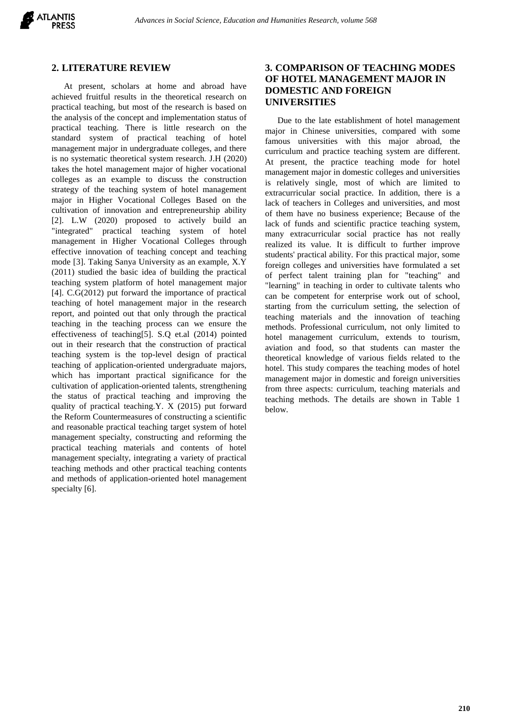

## **2. LITERATURE REVIEW**

At present, scholars at home and abroad have achieved fruitful results in the theoretical research on practical teaching, but most of the research is based on the analysis of the concept and implementation status of practical teaching. There is little research on the standard system of practical teaching of hotel management major in undergraduate colleges, and there is no systematic theoretical system research. J.H (2020) takes the hotel management major of higher vocational colleges as an example to discuss the construction strategy of the teaching system of hotel management major in Higher Vocational Colleges Based on the cultivation of innovation and entrepreneurship ability [2]. L.W (2020) proposed to actively build an "integrated" practical teaching system of hotel management in Higher Vocational Colleges through effective innovation of teaching concept and teaching mode [3]. Taking Sanya University as an example, X.Y (2011) studied the basic idea of building the practical teaching system platform of hotel management major [4]. C.G(2012) put forward the importance of practical teaching of hotel management major in the research report, and pointed out that only through the practical teaching in the teaching process can we ensure the effectiveness of teaching[5]. S.Q et.al (2014) pointed out in their research that the construction of practical teaching system is the top-level design of practical teaching of application-oriented undergraduate majors, which has important practical significance for the cultivation of application-oriented talents, strengthening the status of practical teaching and improving the quality of practical teaching.Y. X (2015) put forward the Reform Countermeasures of constructing a scientific and reasonable practical teaching target system of hotel management specialty, constructing and reforming the practical teaching materials and contents of hotel management specialty, integrating a variety of practical teaching methods and other practical teaching contents and methods of application-oriented hotel management specialty [6].

## **3. COMPARISON OF TEACHING MODES OF HOTEL MANAGEMENT MAJOR IN DOMESTIC AND FOREIGN UNIVERSITIES**

Due to the late establishment of hotel management major in Chinese universities, compared with some famous universities with this major abroad, the curriculum and practice teaching system are different. At present, the practice teaching mode for hotel management major in domestic colleges and universities is relatively single, most of which are limited to extracurricular social practice. In addition, there is a lack of teachers in Colleges and universities, and most of them have no business experience; Because of the lack of funds and scientific practice teaching system, many extracurricular social practice has not really realized its value. It is difficult to further improve students' practical ability. For this practical major, some foreign colleges and universities have formulated a set of perfect talent training plan for "teaching" and "learning" in teaching in order to cultivate talents who can be competent for enterprise work out of school, starting from the curriculum setting, the selection of teaching materials and the innovation of teaching methods. Professional curriculum, not only limited to hotel management curriculum, extends to tourism, aviation and food, so that students can master the theoretical knowledge of various fields related to the hotel. This study compares the teaching modes of hotel management major in domestic and foreign universities from three aspects: curriculum, teaching materials and teaching methods. The details are shown in Table 1 below.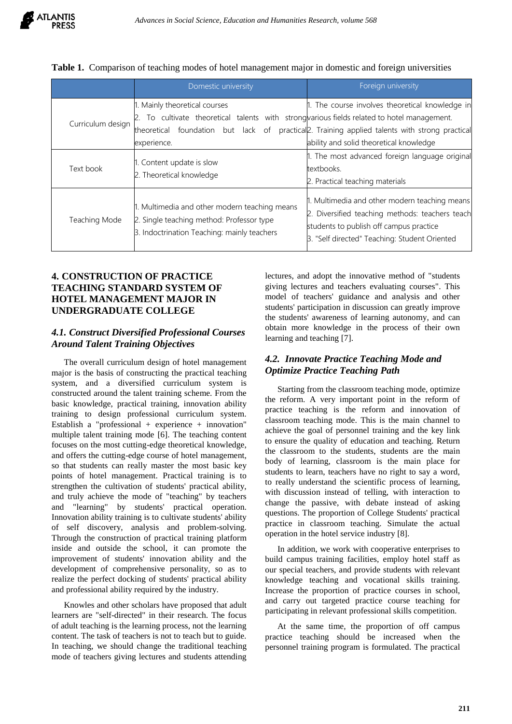|                   | Domestic university                                                                                                                       | Foreign university                                                                                                                                                                           |  |  |  |
|-------------------|-------------------------------------------------------------------------------------------------------------------------------------------|----------------------------------------------------------------------------------------------------------------------------------------------------------------------------------------------|--|--|--|
|                   | 1. Mainly theoretical courses                                                                                                             | 1. The course involves theoretical knowledge in                                                                                                                                              |  |  |  |
| Curriculum design | To cultivate theoretical talents with strong various fields related to hotel management.                                                  |                                                                                                                                                                                              |  |  |  |
|                   | foundation but lack of<br>theoretical                                                                                                     | practical <sub>2</sub> . Training applied talents with strong practical                                                                                                                      |  |  |  |
|                   | experience.                                                                                                                               | ability and solid theoretical knowledge                                                                                                                                                      |  |  |  |
| Text book         |                                                                                                                                           | 1. The most advanced foreign language original                                                                                                                                               |  |  |  |
|                   | 1. Content update is slow<br>2. Theoretical knowledge                                                                                     | textbooks.                                                                                                                                                                                   |  |  |  |
|                   |                                                                                                                                           | 2. Practical teaching materials                                                                                                                                                              |  |  |  |
| Teaching Mode     | 1. Multimedia and other modern teaching means<br>2. Single teaching method: Professor type<br>3. Indoctrination Teaching: mainly teachers | 1. Multimedia and other modern teaching means<br>2. Diversified teaching methods: teachers teach<br>students to publish off campus practice<br>3. "Self directed" Teaching: Student Oriented |  |  |  |

|  | Table 1. Comparison of teaching modes of hotel management major in domestic and foreign universities |  |  |  |
|--|------------------------------------------------------------------------------------------------------|--|--|--|
|  |                                                                                                      |  |  |  |

## **4. CONSTRUCTION OF PRACTICE TEACHING STANDARD SYSTEM OF HOTEL MANAGEMENT MAJOR IN UNDERGRADUATE COLLEGE**

## *4.1. Construct Diversified Professional Courses Around Talent Training Objectives*

The overall curriculum design of hotel management major is the basis of constructing the practical teaching system, and a diversified curriculum system is constructed around the talent training scheme. From the basic knowledge, practical training, innovation ability training to design professional curriculum system. Establish a "professional + experience + innovation" multiple talent training mode [6]. The teaching content focuses on the most cutting-edge theoretical knowledge, and offers the cutting-edge course of hotel management, so that students can really master the most basic key points of hotel management. Practical training is to strengthen the cultivation of students' practical ability, and truly achieve the mode of "teaching" by teachers and "learning" by students' practical operation. Innovation ability training is to cultivate students' ability of self discovery, analysis and problem-solving. Through the construction of practical training platform inside and outside the school, it can promote the improvement of students' innovation ability and the development of comprehensive personality, so as to realize the perfect docking of students' practical ability and professional ability required by the industry.

Knowles and other scholars have proposed that adult learners are "self-directed" in their research. The focus of adult teaching is the learning process, not the learning content. The task of teachers is not to teach but to guide. In teaching, we should change the traditional teaching mode of teachers giving lectures and students attending lectures, and adopt the innovative method of "students giving lectures and teachers evaluating courses". This model of teachers' guidance and analysis and other students' participation in discussion can greatly improve the students' awareness of learning autonomy, and can obtain more knowledge in the process of their own learning and teaching [7].

## *4.2. Innovate Practice Teaching Mode and Optimize Practice Teaching Path*

Starting from the classroom teaching mode, optimize the reform. A very important point in the reform of practice teaching is the reform and innovation of classroom teaching mode. This is the main channel to achieve the goal of personnel training and the key link to ensure the quality of education and teaching. Return the classroom to the students, students are the main body of learning, classroom is the main place for students to learn, teachers have no right to say a word, to really understand the scientific process of learning, with discussion instead of telling, with interaction to change the passive, with debate instead of asking questions. The proportion of College Students' practical practice in classroom teaching. Simulate the actual operation in the hotel service industry [8].

In addition, we work with cooperative enterprises to build campus training facilities, employ hotel staff as our special teachers, and provide students with relevant knowledge teaching and vocational skills training. Increase the proportion of practice courses in school, and carry out targeted practice course teaching for participating in relevant professional skills competition.

At the same time, the proportion of off campus practice teaching should be increased when the personnel training program is formulated. The practical